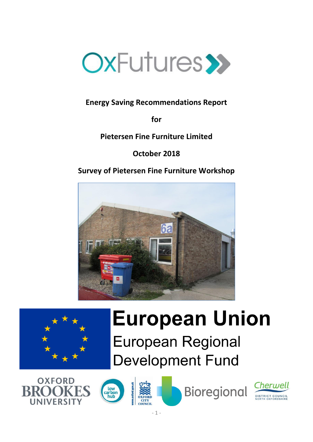

## **Energy Saving Recommendations Report**

**for**

**Pietersen Fine Furniture Limited**

**October 2018**

**Survey of Pietersen Fine Furniture Workshop**





# **European Union European Regional Development Fund**





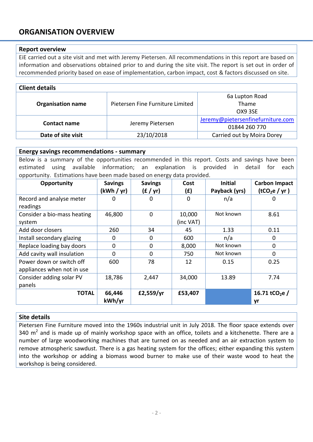### **ORGANISATION OVERVIEW**

#### **Report overview**

EiE carried out a site visit and met with Jeremy Pietersen. All recommendations in this report are based on information and observations obtained prior to and during the site visit. The report is set out in order of recommended priority based on ease of implementation, carbon impact, cost & factors discussed on site.

| <b>Client details</b>    |                                  |                                   |  |  |
|--------------------------|----------------------------------|-----------------------------------|--|--|
|                          |                                  | 6a Lupton Road                    |  |  |
| <b>Organisation name</b> | Pietersen Fine Furniture Limited | Thame                             |  |  |
|                          |                                  | OX9 3SE                           |  |  |
| <b>Contact name</b>      |                                  | Jeremy@pietersenfinefurniture.com |  |  |
|                          | Jeremy Pietersen                 | 01844 260 770                     |  |  |
| Date of site visit       | 23/10/2018                       | Carried out by Moira Dorey        |  |  |

#### **Energy savings recommendations - summary**

Below is a summary of the opportunities recommended in this report. Costs and savings have been estimated using available information; an explanation is provided in detail for each opportunity. Estimations have been made based on energy data provided.

| . .<br>Opportunity          | <b>Savings</b> | ັ<br><b>Savings</b> | Cost      | <b>Initial</b> | <b>Carbon Impact</b>       |
|-----------------------------|----------------|---------------------|-----------|----------------|----------------------------|
|                             | (kWh / yr)     | (E / yr)            | (£)       | Payback (yrs)  | (tCO <sub>2</sub> e / yr)  |
| Record and analyse meter    | 0              | $\Omega$            | $\Omega$  | n/a            | 0                          |
| readings                    |                |                     |           |                |                            |
| Consider a bio-mass heating | 46,800         | $\mathbf 0$         | 10,000    | Not known      | 8.61                       |
| system                      |                |                     | (inc VAT) |                |                            |
| Add door closers            | 260            | 34                  | 45        | 1.33           | 0.11                       |
| Install secondary glazing   | 0              | $\mathbf 0$         | 600       | n/a            | $\mathbf 0$                |
| Replace loading bay doors   | $\mathbf{0}$   | $\mathbf 0$         | 8,000     | Not known      | 0                          |
| Add cavity wall insulation  | $\Omega$       | $\Omega$            | 750       | Not known      | $\Omega$                   |
| Power down or switch off    | 600            | 78                  | 12        | 0.15           | 0.25                       |
| appliances when not in use  |                |                     |           |                |                            |
| Consider adding solar PV    | 18,786         | 2,447               | 34,000    | 13.89          | 7.74                       |
| panels                      |                |                     |           |                |                            |
| <b>TOTAL</b>                | 66,446         | £2,559/yr           | £53,407   |                | 16.71 tCO <sub>2</sub> e / |
|                             | kWh/yr         |                     |           |                | yr                         |

#### **Site details**

Pietersen Fine Furniture moved into the 1960s industrial unit in July 2018. The floor space extends over 340  $m^2$  and is made up of mainly workshop space with an office, toilets and a kitchenette. There are a number of large woodworking machines that are turned on as needed and an air extraction system to remove atmospheric sawdust. There is a gas heating system for the offices; either expanding this system into the workshop or adding a biomass wood burner to make use of their waste wood to heat the workshop is being considered.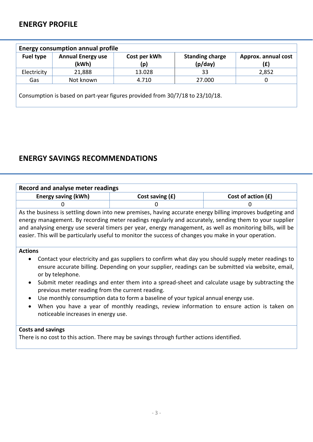## **ENERGY PROFILE**

| <b>Fuel type</b> | <b>Annual Energy use</b> | Cost per kWh | <b>Standing charge</b> | Approx. annual cost |
|------------------|--------------------------|--------------|------------------------|---------------------|
|                  | (kWh)                    | (p)          | (p/day)                | (£)                 |
| Electricity      | 21,888                   | 13.028       | 33                     | 2,852               |
| Gas              | Not known                | 4.710        | 27.000                 | O                   |

## **ENERGY SAVINGS RECOMMENDATIONS**

| <b>Record and analyse meter readings</b>                                                                                                                                                                                                                                                                                                                                                                                                   |                                                                                                                                                                                                          |                      |  |
|--------------------------------------------------------------------------------------------------------------------------------------------------------------------------------------------------------------------------------------------------------------------------------------------------------------------------------------------------------------------------------------------------------------------------------------------|----------------------------------------------------------------------------------------------------------------------------------------------------------------------------------------------------------|----------------------|--|
| <b>Energy saving (kWh)</b>                                                                                                                                                                                                                                                                                                                                                                                                                 | Cost saving $(f)$                                                                                                                                                                                        | Cost of action $(f)$ |  |
| 0                                                                                                                                                                                                                                                                                                                                                                                                                                          | O                                                                                                                                                                                                        | 0                    |  |
| As the business is settling down into new premises, having accurate energy billing improves budgeting and<br>energy management. By recording meter readings regularly and accurately, sending them to your supplier<br>and analysing energy use several timers per year, energy management, as well as monitoring bills, will be<br>easier. This will be particularly useful to monitor the success of changes you make in your operation. |                                                                                                                                                                                                          |                      |  |
| <b>Actions</b>                                                                                                                                                                                                                                                                                                                                                                                                                             |                                                                                                                                                                                                          |                      |  |
| or by telephone.                                                                                                                                                                                                                                                                                                                                                                                                                           | Contact your electricity and gas suppliers to confirm what day you should supply meter readings to<br>ensure accurate billing. Depending on your supplier, readings can be submitted via website, email, |                      |  |
| previous meter reading from the current reading.                                                                                                                                                                                                                                                                                                                                                                                           | Submit meter readings and enter them into a spread-sheet and calculate usage by subtracting the                                                                                                          |                      |  |
| noticeable increases in energy use.                                                                                                                                                                                                                                                                                                                                                                                                        | Use monthly consumption data to form a baseline of your typical annual energy use.<br>When you have a year of monthly readings, review information to ensure action is taken on                          |                      |  |
| <b>Costs and savings</b>                                                                                                                                                                                                                                                                                                                                                                                                                   | There is no cost to this action. There may be savings through further actions identified.                                                                                                                |                      |  |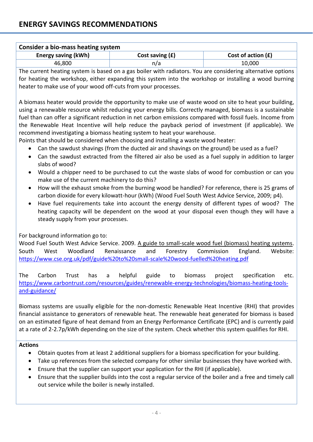| Consider a bio-mass heating system |                   |                      |  |
|------------------------------------|-------------------|----------------------|--|
| Energy saving (kWh)                | Cost saving $(f)$ | Cost of action $(f)$ |  |
| 46,800                             | n/a               | 10,000               |  |

The current heating system is based on a gas boiler with radiators. You are considering alternative options for heating the workshop, either expanding this system into the workshop or installing a wood burning heater to make use of your wood off-cuts from your processes.

A biomass heater would provide the opportunity to make use of waste wood on site to heat your building, using a renewable resource whilst reducing your energy bills. Correctly managed, biomass is a sustainable fuel than can offer a significant reduction in net carbon emissions compared with fossil fuels. Income from the Renewable Heat Incentive will help reduce the payback period of investment (if applicable). We recommend investigating a biomass heating system to heat your warehouse.

Points that should be considered when choosing and installing a waste wood heater:

- Can the sawdust shavings (from the ducted air and shavings on the ground) be used as a fuel?
- Can the sawdust extracted from the filtered air also be used as a fuel supply in addition to larger slabs of wood?
- Would a chipper need to be purchased to cut the waste slabs of wood for combustion or can you make use of the current machinery to do this?
- How will the exhaust smoke from the burning wood be handled? For reference, there is 25 grams of carbon dioxide for every kilowatt-hour (kWh) (Wood Fuel South West Advice Service, 2009; p4).
- Have fuel requirements take into account the energy density of different types of wood? The heating capacity will be dependent on the wood at your disposal even though they will have a steady supply from your processes.

#### For background information go to:

Wood Fuel South West Advice Service. 2009. A guide to small-scale wood fuel (biomass) heating systems. South West Woodland Renaissance and Forestry Commission England. Website: <https://www.cse.org.uk/pdf/guide%20to%20small-scale%20wood-fuelled%20heating.pdf>

The Carbon Trust has a helpful guide to biomass project specification etc. [https://www.carbontrust.com/resources/guides/renewable-energy-technologies/biomass-heating-tools](https://www.carbontrust.com/resources/guides/renewable-energy-technologies/biomass-heating-tools-and-guidance/)[and-guidance/](https://www.carbontrust.com/resources/guides/renewable-energy-technologies/biomass-heating-tools-and-guidance/)

Biomass systems are usually eligible for the non-domestic Renewable Heat Incentive (RHI) that provides financial assistance to generators of renewable heat. The renewable heat generated for biomass is based on an estimated figure of heat demand from an Energy Performance Certificate (EPC) and is currently paid at a rate of 2-2.7p/kWh depending on the size of the system. Check whether this system qualifies for RHI.

#### **Actions**

- Obtain quotes from at least 2 additional suppliers for a biomass specification for your building.
- Take up references from the selected company for other similar businesses they have worked with.
- Ensure that the supplier can support your application for the RHI (if applicable).
- Ensure that the supplier builds into the cost a regular service of the boiler and a free and timely call out service while the boiler is newly installed.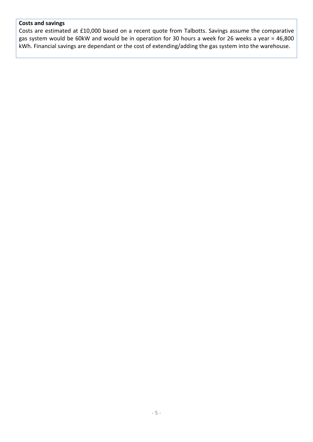#### **Costs and savings**

Costs are estimated at £10,000 based on a recent quote from Talbotts. Savings assume the comparative gas system would be 60kW and would be in operation for 30 hours a week for 26 weeks a year = 46,800 kWh. Financial savings are dependant or the cost of extending/adding the gas system into the warehouse.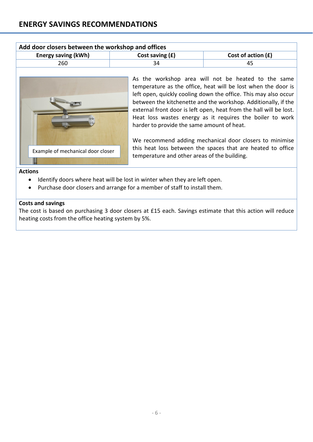| Add door closers between the workshop and offices |                   |                      |  |
|---------------------------------------------------|-------------------|----------------------|--|
| <b>Energy saving (kWh)</b>                        | Cost saving $(f)$ | Cost of action $(f)$ |  |
| 260                                               | 34                | 45                   |  |



As the workshop area will not be heated to the same temperature as the office, heat will be lost when the door is left open, quickly cooling down the office. This may also occur between the kitchenette and the workshop. Additionally, if the external front door is left open, heat from the hall will be lost. Heat loss wastes energy as it requires the boiler to work harder to provide the same amount of heat.

We recommend adding mechanical door closers to minimise this heat loss between the spaces that are heated to office temperature and other areas of the building.

#### **Actions**

- Identify doors where heat will be lost in winter when they are left open.
- Purchase door closers and arrange for a member of staff to install them.

#### **Costs and savings**

The cost is based on purchasing 3 door closers at £15 each. Savings estimate that this action will reduce heating costs from the office heating system by 5%.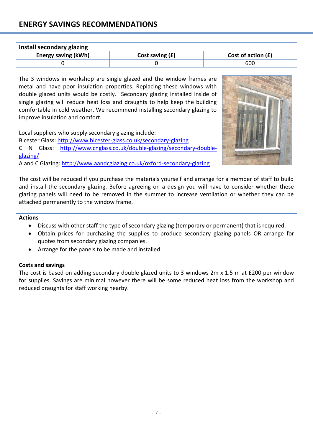## **ENERGY SAVINGS RECOMMENDATIONS**

| Install secondary glazing  |                   |                      |  |
|----------------------------|-------------------|----------------------|--|
| <b>Energy saving (kWh)</b> | Cost saving $(f)$ | Cost of action $(f)$ |  |
|                            |                   | 600                  |  |

The 3 windows in workshop are single glazed and the window frames are metal and have poor insulation properties. Replacing these windows with double glazed units would be costly. Secondary glazing installed inside of single glazing will reduce heat loss and draughts to help keep the building comfortable in cold weather. We recommend installing secondary glazing to improve insulation and comfort.

Local suppliers who supply secondary glazing include:

Bicester Glass:<http://www.bicester-glass.co.uk/secondary-glazing>

C N Glass: [http://www.cnglass.co.uk/double-glazing/secondary-double](http://www.cnglass.co.uk/double-glazing/secondary-double-glazing/)[glazing/](http://www.cnglass.co.uk/double-glazing/secondary-double-glazing/)

A and C Glazing:<http://www.aandcglazing.co.uk/oxford-secondary-glazing>



The cost will be reduced if you purchase the materials yourself and arrange for a member of staff to build and install the secondary glazing. Before agreeing on a design you will have to consider whether these glazing panels will need to be removed in the summer to increase ventilation or whether they can be attached permanently to the window frame.

#### **Actions**

- Discuss with other staff the type of secondary glazing (temporary or permanent) that is required.
- Obtain prices for purchasing the supplies to produce secondary glazing panels OR arrange for quotes from secondary glazing companies.
- Arrange for the panels to be made and installed.

#### **Costs and savings**

The cost is based on adding secondary double glazed units to 3 windows 2m x 1.5 m at £200 per window for supplies. Savings are minimal however there will be some reduced heat loss from the workshop and reduced draughts for staff working nearby.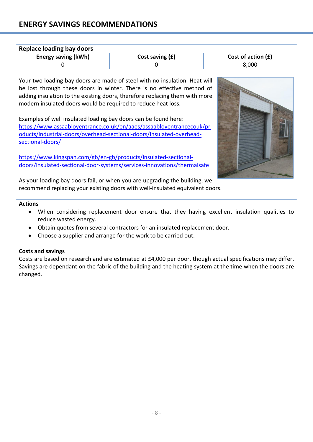## **ENERGY SAVINGS RECOMMENDATIONS**

changed.

| <b>Replace loading bay doors</b>                                                                                                                                                                                        |                                                                                                                                                                                                                                                                                                                                                                                                                                                                                                                                                                                                                               |                    |
|-------------------------------------------------------------------------------------------------------------------------------------------------------------------------------------------------------------------------|-------------------------------------------------------------------------------------------------------------------------------------------------------------------------------------------------------------------------------------------------------------------------------------------------------------------------------------------------------------------------------------------------------------------------------------------------------------------------------------------------------------------------------------------------------------------------------------------------------------------------------|--------------------|
| <b>Energy saving (kWh)</b>                                                                                                                                                                                              | Cost saving (£)                                                                                                                                                                                                                                                                                                                                                                                                                                                                                                                                                                                                               | Cost of action (£) |
| $\Omega$                                                                                                                                                                                                                | 0                                                                                                                                                                                                                                                                                                                                                                                                                                                                                                                                                                                                                             | 8,000              |
| modern insulated doors would be required to reduce heat loss.<br>Examples of well insulated loading bay doors can be found here:<br>sectional-doors/<br>https://www.kingspan.com/gb/en-gb/products/insulated-sectional- | Your two loading bay doors are made of steel with no insulation. Heat will<br>be lost through these doors in winter. There is no effective method of<br>adding insulation to the existing doors, therefore replacing them with more<br>https://www.assaabloyentrance.co.uk/en/aaes/assaabloyentrancecouk/pr<br>oducts/industrial-doors/overhead-sectional-doors/insulated-overhead-<br>doors/insulated-sectional-door-systems/services-innovations/thermalsafe<br>As your loading bay doors fail, or when you are upgrading the building, we<br>recommend replacing your existing doors with well-insulated equivalent doors. |                    |
| <b>Actions</b>                                                                                                                                                                                                          |                                                                                                                                                                                                                                                                                                                                                                                                                                                                                                                                                                                                                               |                    |
| reduce wasted energy.                                                                                                                                                                                                   | When considering replacement door ensure that they having excellent insulation qualities to                                                                                                                                                                                                                                                                                                                                                                                                                                                                                                                                   |                    |
|                                                                                                                                                                                                                         | Obtain quotes from several contractors for an insulated replacement door.                                                                                                                                                                                                                                                                                                                                                                                                                                                                                                                                                     |                    |
| $\bullet$                                                                                                                                                                                                               | Choose a supplier and arrange for the work to be carried out.                                                                                                                                                                                                                                                                                                                                                                                                                                                                                                                                                                 |                    |
| <b>Costs and savings</b>                                                                                                                                                                                                | Costs are based on research and are estimated at £4,000 per door, though actual specifications may differ.<br>Savings are dependant on the fabric of the building and the heating system at the time when the doors are                                                                                                                                                                                                                                                                                                                                                                                                       |                    |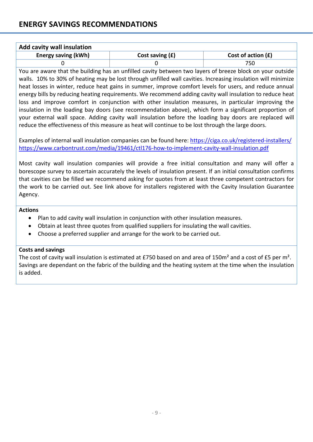| <b>Add cavity wall insulation</b> |                   |                      |  |  |
|-----------------------------------|-------------------|----------------------|--|--|
| <b>Energy saving (kWh)</b>        | Cost saving $(f)$ | Cost of action $(f)$ |  |  |
|                                   |                   | 750                  |  |  |

You are aware that the building has an unfilled cavity between two layers of breeze block on your outside walls. 10% to 30% of heating may be lost through unfilled wall cavities. Increasing insulation will minimize heat losses in winter, reduce heat gains in summer, improve comfort levels for users, and reduce annual energy bills by reducing heating requirements. We recommend adding cavity wall insulation to reduce heat loss and improve comfort in conjunction with other insulation measures, in particular improving the insulation in the loading bay doors (see recommendation above), which form a significant proportion of your external wall space. Adding cavity wall insulation before the loading bay doors are replaced will reduce the effectiveness of this measure as heat will continue to be lost through the large doors.

Examples of internal wall insulation companies can be found here:<https://ciga.co.uk/registered-installers/> <https://www.carbontrust.com/media/19461/ctl176-how-to-implement-cavity-wall-insulation.pdf>

Most cavity wall insulation companies will provide a free initial consultation and many will offer a borescope survey to ascertain accurately the levels of insulation present. If an initial consultation confirms that cavities can be filled we recommend asking for quotes from at least three competent contractors for the work to be carried out. See link above for installers registered with the Cavity Insulation Guarantee Agency.

#### **Actions**

- Plan to add cavity wall insulation in conjunction with other insulation measures.
- Obtain at least three quotes from qualified suppliers for insulating the wall cavities.
- Choose a preferred supplier and arrange for the work to be carried out.

#### **Costs and savings**

The cost of cavity wall insulation is estimated at £750 based on and area of 150m<sup>2</sup> and a cost of £5 per m<sup>2</sup>. Savings are dependant on the fabric of the building and the heating system at the time when the insulation is added.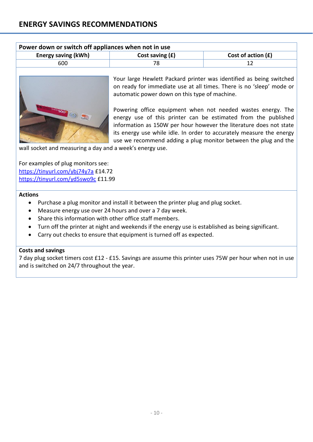| Power down or switch off appliances when not in use |                   |                      |  |
|-----------------------------------------------------|-------------------|----------------------|--|
| <b>Energy saving (kWh)</b>                          | Cost saving $(f)$ | Cost of action $(f)$ |  |
| 600                                                 |                   |                      |  |



Your large Hewlett Packard printer was identified as being switched on ready for immediate use at all times. There is no 'sleep' mode or automatic power down on this type of machine.

Powering office equipment when not needed wastes energy. The energy use of this printer can be estimated from the published information as 150W per hour however the literature does not state its energy use while idle. In order to accurately measure the energy use we recommend adding a plug monitor between the plug and the

wall socket and measuring a day and a week's energy use.

For examples of plug monitors see: <https://tinyurl.com/ybj74y7a> £14.72 <https://tinyurl.com/yd5swo9c> £11.99

#### **Actions**

- Purchase a plug monitor and install it between the printer plug and plug socket.
- Measure energy use over 24 hours and over a 7 day week.
- Share this information with other office staff members.
- Turn off the printer at night and weekends if the energy use is established as being significant.
- Carry out checks to ensure that equipment is turned off as expected.

#### **Costs and savings**

7 day plug socket timers cost £12 - £15. Savings are assume this printer uses 75W per hour when not in use and is switched on 24/7 throughout the year.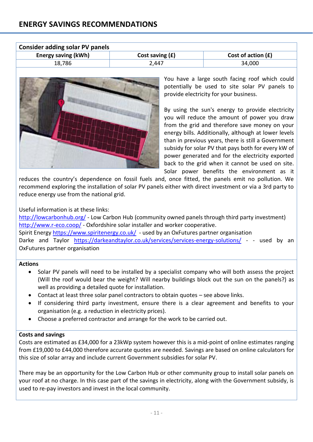| Consider adding solar PV panels |                   |                      |  |
|---------------------------------|-------------------|----------------------|--|
| <b>Energy saving (kWh)</b>      | Cost saving $(f)$ | Cost of action $(f)$ |  |
| 18,786                          | 2,447             | 34,000               |  |



You have a large south facing roof which could potentially be used to site solar PV panels to provide electricity for your business.

By using the sun's energy to provide electricity you will reduce the amount of power you draw from the grid and therefore save money on your energy bills. Additionally, although at lower levels than in previous years, there is still a Government subsidy for solar PV that pays both for every kW of power generated and for the electricity exported back to the grid when it cannot be used on site. Solar power benefits the environment as it

reduces the country's dependence on fossil fuels and, once fitted, the panels emit no pollution. We recommend exploring the installation of solar PV panels either with direct investment or via a 3rd party to reduce energy use from the national grid.

#### Useful information is at these links:

<http://lowcarbonhub.org/> - Low Carbon Hub (community owned panels through third party investment) <http://www.r-eco.coop/> - Oxfordshire solar installer and worker cooperative. Spirit Energy<https://www.spiritenergy.co.uk/>- used by an OxFutures partner organisation Darke and Taylor <https://darkeandtaylor.co.uk/services/services-energy-solutions/> - - used by an OxFutures partner organisation

## **Actions**

- Solar PV panels will need to be installed by a specialist company who will both assess the project (Will the roof would bear the weight? Will nearby buildings block out the sun on the panels?) as well as providing a detailed quote for installation.
- Contact at least three solar panel contractors to obtain quotes see above links.
- If considering third party investment, ensure there is a clear agreement and benefits to your organisation (e.g. a reduction in electricity prices).
- Choose a preferred contractor and arrange for the work to be carried out.

#### **Costs and savings**

Costs are estimated as £34,000 for a 23kWp system however this is a mid-point of online estimates ranging from £19,000 to £44,000 therefore accurate quotes are needed. Savings are based on online calculators for this size of solar array and include current Government subsidies for solar PV.

There may be an opportunity for the Low Carbon Hub or other community group to install solar panels on your roof at no charge. In this case part of the savings in electricity, along with the Government subsidy, is used to re-pay investors and invest in the local community.